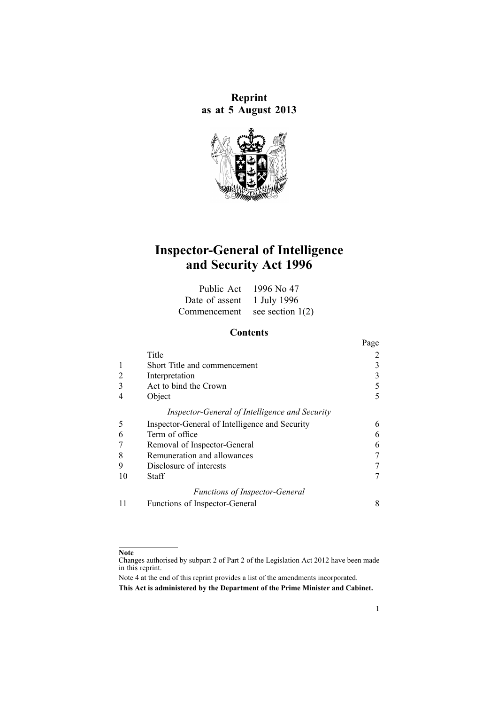**Reprint as at 5 August 2013**



# **Inspector-General of Intelligence and Security Act 1996**

|                               | Public Act $1996$ No 47 |
|-------------------------------|-------------------------|
| Date of assent 1 July 1996    |                         |
| Commencement see section 1(2) |                         |

# **Contents**

|    |                                                | Page |
|----|------------------------------------------------|------|
|    | Title                                          |      |
|    | Short Title and commencement                   |      |
| 2  | Interpretation                                 |      |
|    | Act to bind the Crown                          |      |
|    | Object                                         |      |
|    | Inspector-General of Intelligence and Security |      |
| 5  | Inspector-General of Intelligence and Security | 6    |
| 6  | Term of office                                 |      |
|    | Removal of Inspector-General                   | 6    |
| 8  | Remuneration and allowances                    |      |
| 9  | Disclosure of interests                        |      |
| 10 | Staff                                          |      |
|    | <b>Functions of Inspector-General</b>          |      |
| 11 | Functions of Inspector-General                 | 8    |

#### **Note**

Changes authorised by [subpart](http://www.legislation.govt.nz/pdflink.aspx?id=DLM2998524) 2 of Part 2 of the Legislation Act 2012 have been made in this reprint.

Note 4 at the end of this reprint provides <sup>a</sup> list of the amendments incorporated. **This Act is administered by the Department of the Prime Minister and Cabinet.**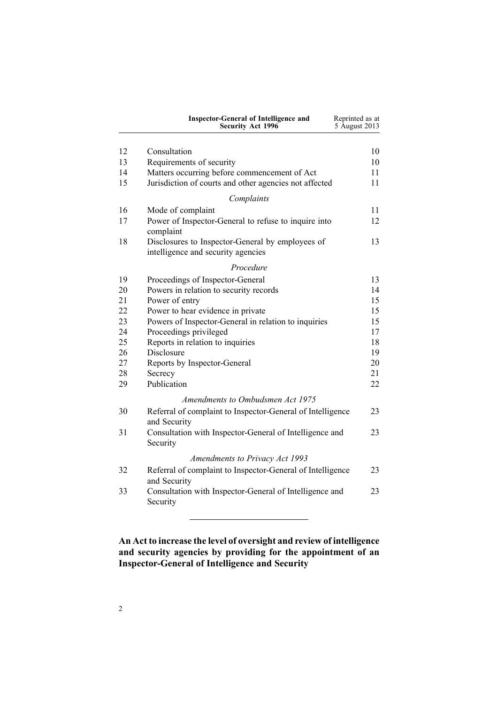<span id="page-1-0"></span>

|    | <b>Inspector-General of Intelligence and</b><br>Security Act 1996                                      | Reprinted as at<br>5 August 2013 |
|----|--------------------------------------------------------------------------------------------------------|----------------------------------|
| 12 |                                                                                                        | 10                               |
| 13 | Consultation                                                                                           |                                  |
| 14 | Requirements of security                                                                               | 10<br>11                         |
| 15 | Matters occurring before commencement of Act<br>Jurisdiction of courts and other agencies not affected | 11                               |
|    |                                                                                                        |                                  |
|    | Complaints                                                                                             |                                  |
| 16 | Mode of complaint                                                                                      | 11                               |
| 17 | Power of Inspector-General to refuse to inquire into<br>complaint                                      | 12                               |
| 18 | Disclosures to Inspector-General by employees of                                                       | 13                               |
|    | intelligence and security agencies                                                                     |                                  |
|    | Procedure                                                                                              |                                  |
| 19 | Proceedings of Inspector-General                                                                       | 13                               |
| 20 | Powers in relation to security records                                                                 | 14                               |
| 21 | Power of entry                                                                                         | 15                               |
| 22 | Power to hear evidence in private                                                                      | 15                               |
| 23 | Powers of Inspector-General in relation to inquiries                                                   | 15                               |
| 24 | Proceedings privileged                                                                                 | 17                               |
| 25 | Reports in relation to inquiries                                                                       | 18                               |
| 26 | Disclosure                                                                                             | 19                               |
| 27 | Reports by Inspector-General                                                                           | 20                               |
| 28 | Secrecy                                                                                                | 21                               |
| 29 | Publication                                                                                            | 22                               |
|    | Amendments to Ombudsmen Act 1975                                                                       |                                  |
| 30 | Referral of complaint to Inspector-General of Intelligence<br>and Security                             | 23                               |
| 31 | Consultation with Inspector-General of Intelligence and<br>Security                                    | 23                               |
|    | <b>Amendments to Privacy Act 1993</b>                                                                  |                                  |
|    |                                                                                                        |                                  |
| 32 | Referral of complaint to Inspector-General of Intelligence<br>and Security                             | 23                               |
| 33 | Consultation with Inspector-General of Intelligence and<br>Security                                    | 23                               |

# **An Act to increase the level of oversight and review of intelligence and security agencies by providing for the appointment of an Inspector-General of Intelligence and Security**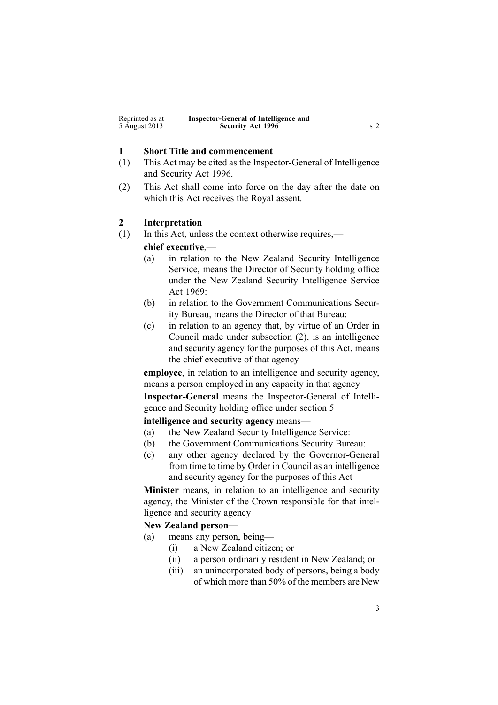<span id="page-2-0"></span>

| Reprinted as at | Inspector-General of Intelligence and |  |
|-----------------|---------------------------------------|--|
| 5 August 2013   | <b>Security Act 1996</b>              |  |

## **1 Short Title and commencement**

- (1) This Act may be cited as the Inspector-General of Intelligence and Security Act 1996.
- (2) This Act shall come into force on the day after the date on which this Act receives the Royal assent.

#### **2 Interpretation**

(1) In this Act, unless the context otherwise requires,—

#### **chief executive**,—

- (a) in relation to the New Zealand Security Intelligence Service, means the Director of Security holding office under the New Zealand Security [Intelligence](http://www.legislation.govt.nz/pdflink.aspx?id=DLM391605) Service Act [1969](http://www.legislation.govt.nz/pdflink.aspx?id=DLM391605):
- (b) in relation to the Government Communications Security Bureau, means the Director of that Bureau:
- (c) in relation to an agency that, by virtue of an Order in Council made under subsection (2), is an intelligence and security agency for the purposes of this Act, means the chief executive of that agency

**employee**, in relation to an intelligence and security agency, means <sup>a</sup> person employed in any capacity in that agency

**Inspector-General** means the Inspector-General of Intelligence and Security holding office under [section](#page-5-0) 5

#### **intelligence and security agency** means—

- (a) the New Zealand Security Intelligence Service:
- (b) the Government Communications Security Bureau:
- (c) any other agency declared by the Governor-General from time to time by Order in Council as an intelligence and security agency for the purposes of this Act

**Minister** means, in relation to an intelligence and security agency, the Minister of the Crown responsible for that intelligence and security agency

#### **New Zealand person**—

- (a) means any person, being—
	- (i) <sup>a</sup> New Zealand citizen; or
	- (ii) <sup>a</sup> person ordinarily resident in New Zealand; or
	- (iii) an unincorporated body of persons, being <sup>a</sup> body of which more than 50% of the members are New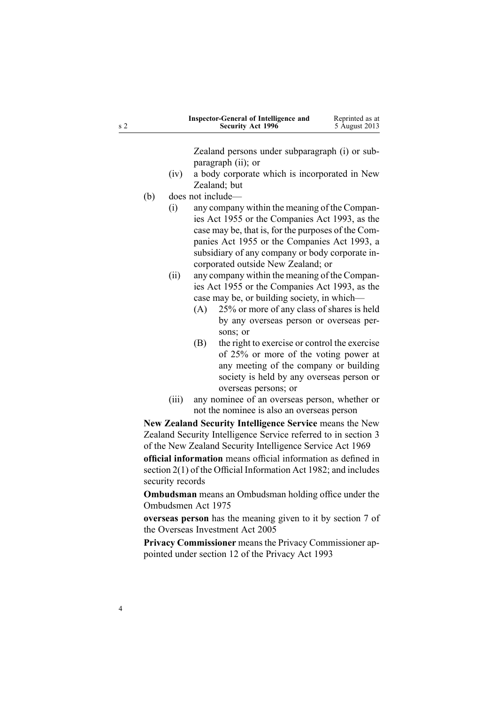| s <sub>2</sub> |            |                                    | <b>Inspector-General of Intelligence and</b><br><b>Security Act 1996</b>                                                                                                                                                                                                                  | Reprinted as at<br>5 August 2013 |
|----------------|------------|------------------------------------|-------------------------------------------------------------------------------------------------------------------------------------------------------------------------------------------------------------------------------------------------------------------------------------------|----------------------------------|
|                | (iv)       | paragraph (ii); or<br>Zealand; but | Zealand persons under subparagraph (i) or sub-<br>a body corporate which is incorporated in New                                                                                                                                                                                           |                                  |
|                | (b)<br>(i) | does not include-                  | any company within the meaning of the Compan-<br>ies Act 1955 or the Companies Act 1993, as the<br>case may be, that is, for the purposes of the Com-<br>panies Act 1955 or the Companies Act 1993, a<br>subsidiary of any company or body corporate in-                                  |                                  |
|                | (ii)       | (A)                                | corporated outside New Zealand; or<br>any company within the meaning of the Compan-<br>ies Act 1955 or the Companies Act 1993, as the<br>case may be, or building society, in which—<br>25% or more of any class of shares is held<br>by any overseas person or overseas per-<br>sons; or |                                  |
|                |            | (B)                                | the right to exercise or control the exercise<br>of 25% or more of the voting power at<br>any meeting of the company or building<br>society is held by any overseas person or<br>overseas persons; or                                                                                     |                                  |
|                | (iii)      |                                    | any nominee of an overseas person, whether or<br>not the nominee is also an overseas person                                                                                                                                                                                               |                                  |
|                |            |                                    | New Zealand Security Intelligence Service means the New                                                                                                                                                                                                                                   |                                  |
|                |            |                                    | Zealand Security Intelligence Service referred to in section 3<br>of the New Zealand Security Intelligence Service Act 1969                                                                                                                                                               |                                  |

**official information** means official information as defined in [section](http://www.legislation.govt.nz/pdflink.aspx?id=DLM65309) 2(1) of the Official Information Act 1982; and includes security records

**Ombudsman** means an Ombudsman holding office under the [Ombudsmen](http://www.legislation.govt.nz/pdflink.aspx?id=DLM430983) Act 1975

**overseas person** has the meaning given to it by [section](http://www.legislation.govt.nz/pdflink.aspx?id=DLM357794) 7 of the Overseas Investment Act 2005

**Privacy Commissioner** means the Privacy Commissioner appointed under [section](http://www.legislation.govt.nz/pdflink.aspx?id=DLM297053) 12 of the Privacy Act 1993

4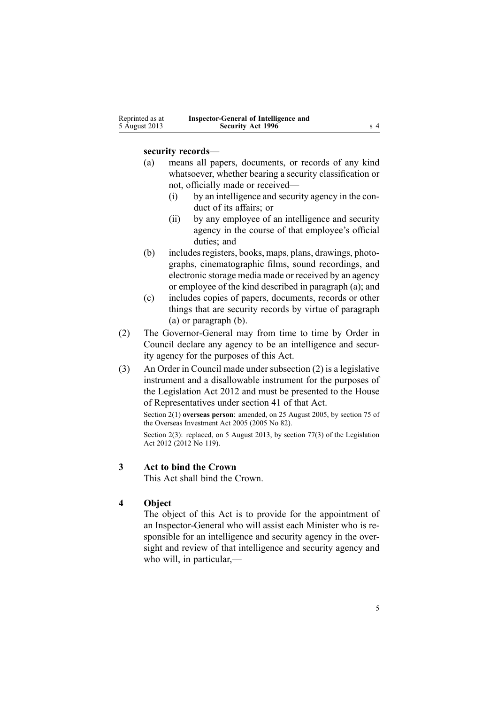<span id="page-4-0"></span>

| Reprinted as at | Inspector-General of Intelligence and |     |
|-----------------|---------------------------------------|-----|
| 5 August 2013   | <b>Security Act 1996</b>              | s 4 |

## **security records**—

- (a) means all papers, documents, or records of any kind whatsoever, whether bearing <sup>a</sup> security classification or not, officially made or received—
	- (i) by an intelligence and security agency in the conduct of its affairs; or
	- (ii) by any employee of an intelligence and security agency in the course of that employee's official duties; and
- (b) includes registers, books, maps, plans, drawings, photographs, cinematographic films, sound recordings, and electronic storage media made or received by an agency or employee of the kind described in paragraph (a); and
- (c) includes copies of papers, documents, records or other things that are security records by virtue of paragraph (a) or paragraph (b).
- (2) The Governor-General may from time to time by Order in Council declare any agency to be an intelligence and security agency for the purposes of this Act.
- (3) An Order in Council made under subsection (2) is <sup>a</sup> legislative instrument and <sup>a</sup> disallowable instrument for the purposes of the [Legislation](http://www.legislation.govt.nz/pdflink.aspx?id=DLM2997643) Act 2012 and must be presented to the House of Representatives under [section](http://www.legislation.govt.nz/pdflink.aspx?id=DLM2998573) 41 of that Act.

Section 2(1) **overseas person**: amended, on 25 August 2005, by [section](http://www.legislation.govt.nz/pdflink.aspx?id=DLM358540) 75 of the Overseas Investment Act 2005 (2005 No 82).

Section 2(3): replaced, on 5 August 2013, by [section](http://www.legislation.govt.nz/pdflink.aspx?id=DLM2998633) 77(3) of the Legislation Act 2012 (2012 No 119).

# **3 Act to bind the Crown**

This Act shall bind the Crown.

## **4 Object**

The object of this Act is to provide for the appointment of an Inspector-General who will assist each Minister who is responsible for an intelligence and security agency in the oversight and review of that intelligence and security agency and who will, in particular,—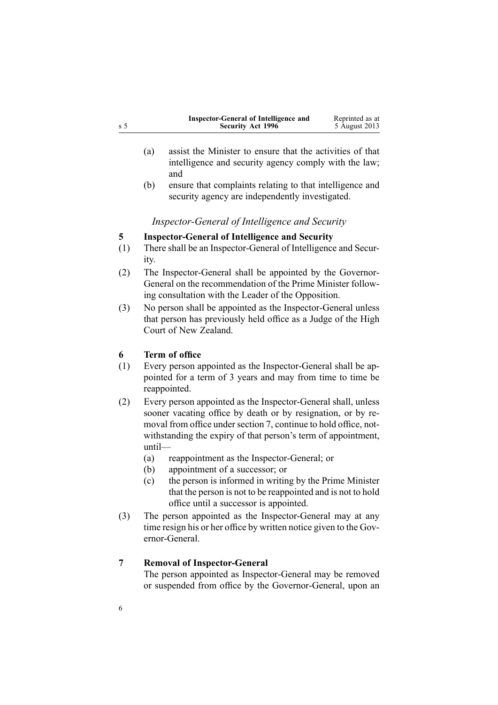<span id="page-5-0"></span>

|     | Inspector-General of Intelligence and | Reprinted as at |
|-----|---------------------------------------|-----------------|
| s 5 | <b>Security Act 1996</b>              | 5 August 2013   |

- (a) assist the Minister to ensure that the activities of that intelligence and security agency comply with the law; and
- (b) ensure that complaints relating to that intelligence and security agency are independently investigated.

# *Inspector-General of Intelligence and Security*

# **5 Inspector-General of Intelligence and Security**

- (1) There shall be an Inspector-General of Intelligence and Security.
- (2) The Inspector-General shall be appointed by the Governor-General on the recommendation of the Prime Minister following consultation with the Leader of the Opposition.
- (3) No person shall be appointed as the Inspector-General unless that person has previously held office as <sup>a</sup> Judge of the High Court of New Zealand.

# **6 Term of office**

- (1) Every person appointed as the Inspector-General shall be appointed for <sup>a</sup> term of 3 years and may from time to time be reappointed.
- (2) Every person appointed as the Inspector-General shall, unless sooner vacating office by death or by resignation, or by removal from office under section 7, continue to hold office, notwithstanding the expiry of that person's term of appointment, until—
	- (a) reappointment as the Inspector-General; or
	- (b) appointment of <sup>a</sup> successor; or
	- (c) the person is informed in writing by the Prime Minister that the person is not to be reappointed and is not to hold office until <sup>a</sup> successor is appointed.
- (3) The person appointed as the Inspector-General may at any time resign his or her office by written notice given to the Governor-General.

# **7 Removal of Inspector-General**

The person appointed as Inspector-General may be removed or suspended from office by the Governor-General, upon an

6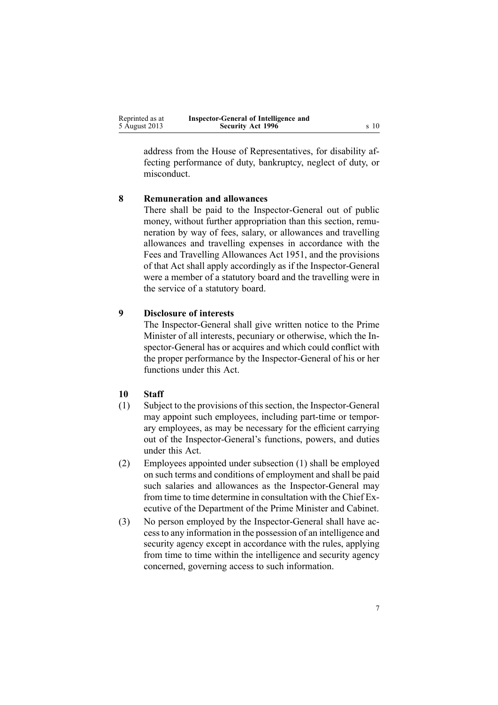<span id="page-6-0"></span>

| Reprinted as at | Inspector-General of Intelligence and |      |
|-----------------|---------------------------------------|------|
| 5 August 2013   | <b>Security Act 1996</b>              | s 10 |

address from the House of Representatives, for disability affecting performance of duty, bankruptcy, neglect of duty, or misconduct.

# **8 Remuneration and allowances**

There shall be paid to the Inspector-General out of public money, without further appropriation than this section, remuneration by way of fees, salary, or allowances and travelling allowances and travelling expenses in accordance with the Fees and [Travelling](http://www.legislation.govt.nz/pdflink.aspx?id=DLM264952) Allowances Act 1951, and the provisions of that Act shall apply accordingly as if the Inspector-General were <sup>a</sup> member of <sup>a</sup> statutory board and the travelling were in the service of <sup>a</sup> statutory board.

# **9 Disclosure of interests**

The Inspector-General shall give written notice to the Prime Minister of all interests, pecuniary or otherwise, which the Inspector-General has or acquires and which could conflict with the proper performance by the Inspector-General of his or her functions under this Act.

# **10 Staff**

- (1) Subject to the provisions of this section, the Inspector-General may appoint such employees, including part-time or temporary employees, as may be necessary for the efficient carrying out of the Inspector-General's functions, powers, and duties under this Act.
- (2) Employees appointed under subsection (1) shall be employed on such terms and conditions of employment and shall be paid such salaries and allowances as the Inspector-General may from time to time determine in consultation with the Chief Executive of the Department of the Prime Minister and Cabinet.
- (3) No person employed by the Inspector-General shall have accessto any information in the possession of an intelligence and security agency excep<sup>t</sup> in accordance with the rules, applying from time to time within the intelligence and security agency concerned, governing access to such information.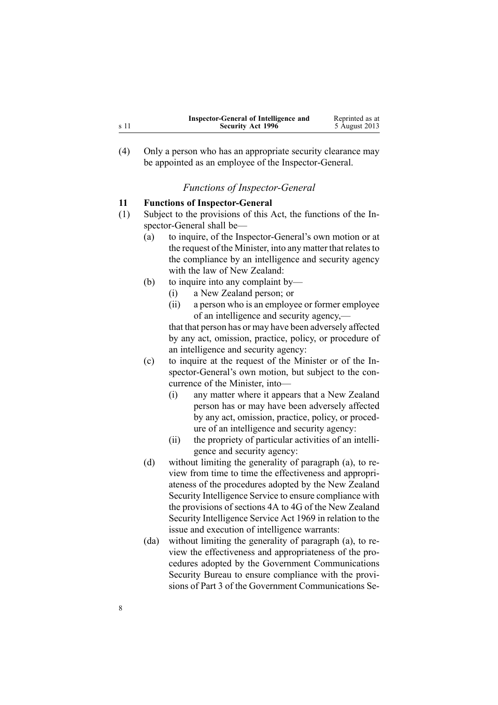<span id="page-7-0"></span>

|      | Inspector-General of Intelligence and | Reprinted as at |
|------|---------------------------------------|-----------------|
| s 11 | <b>Security Act 1996</b>              | 5 August 2013   |

(4) Only <sup>a</sup> person who has an appropriate security clearance may be appointed as an employee of the Inspector-General.

### *Functions of Inspector-General*

#### **11 Functions of Inspector-General**

- (1) Subject to the provisions of this Act, the functions of the Inspector-General shall be—
	- (a) to inquire, of the Inspector-General's own motion or at the request of the Minister, into any matter that relates to the compliance by an intelligence and security agency with the law of New Zealand:
	- (b) to inquire into any complaint by—
		- (i) <sup>a</sup> New Zealand person; or
		- (ii) <sup>a</sup> person who is an employee or former employee of an intelligence and security agency, that that person has or may have been adversely affected

by any act, omission, practice, policy, or procedure of an intelligence and security agency:

- (c) to inquire at the reques<sup>t</sup> of the Minister or of the Inspector-General's own motion, but subject to the concurrence of the Minister, into—
	- (i) any matter where it appears that <sup>a</sup> New Zealand person has or may have been adversely affected by any act, omission, practice, policy, or procedure of an intelligence and security agency:
	- (ii) the propriety of particular activities of an intelligence and security agency:
- (d) without limiting the generality of paragraph (a), to review from time to time the effectiveness and appropriateness of the procedures adopted by the New Zealand Security Intelligence Service to ensure compliance with the provisions of [sections](http://www.legislation.govt.nz/pdflink.aspx?id=DLM391815) 4A to 4G of the New Zealand Security Intelligence Service Act 1969 in relation to the issue and execution of intelligence warrants:
- (da) without limiting the generality of paragraph (a), to review the effectiveness and appropriateness of the procedures adopted by the Government Communications Security Bureau to ensure compliance with the provisions of [Part](http://www.legislation.govt.nz/pdflink.aspx?id=DLM187837) 3 of the Government Communications Se-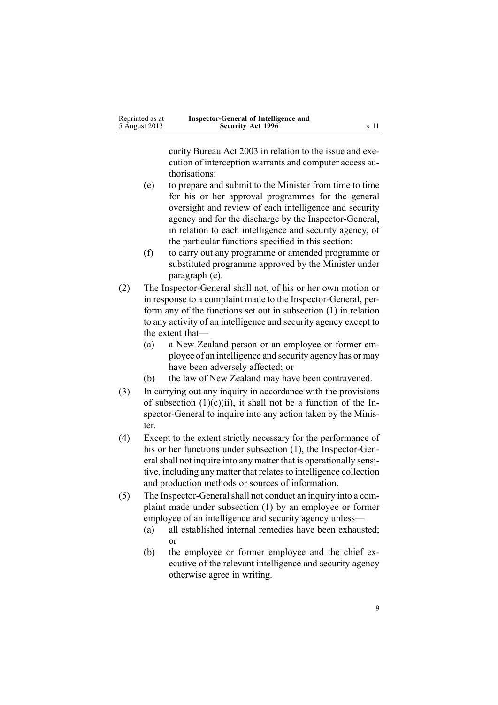curity Bureau Act 2003 in relation to the issue and execution of interception warrants and computer access authorisations:

- (e) to prepare and submit to the Minister from time to time for his or her approval programmes for the general oversight and review of each intelligence and security agency and for the discharge by the Inspector-General, in relation to each intelligence and security agency, of the particular functions specified in this section:
- (f) to carry out any programme or amended programme or substituted programme approved by the Minister under paragraph (e).
- (2) The Inspector-General shall not, of his or her own motion or in response to <sup>a</sup> complaint made to the Inspector-General, perform any of the functions set out in subsection (1) in relation to any activity of an intelligence and security agency excep<sup>t</sup> to the extent that—
	- (a) <sup>a</sup> New Zealand person or an employee or former employee of an intelligence and security agency has or may have been adversely affected; or
	- (b) the law of New Zealand may have been contravened.
- (3) In carrying out any inquiry in accordance with the provisions of subsection  $(1)(c)(ii)$ , it shall not be a function of the Inspector-General to inquire into any action taken by the Minister.
- (4) Except to the extent strictly necessary for the performance of his or her functions under subsection (1), the Inspector-General shall not inquire into any matter that is operationally sensitive, including any matter that relates to intelligence collection and production methods or sources of information.
- (5) The Inspector-General shall not conduct an inquiry into a complaint made under subsection (1) by an employee or former employee of an intelligence and security agency unless—
	- (a) all established internal remedies have been exhausted; or
	- (b) the employee or former employee and the chief executive of the relevant intelligence and security agency otherwise agree in writing.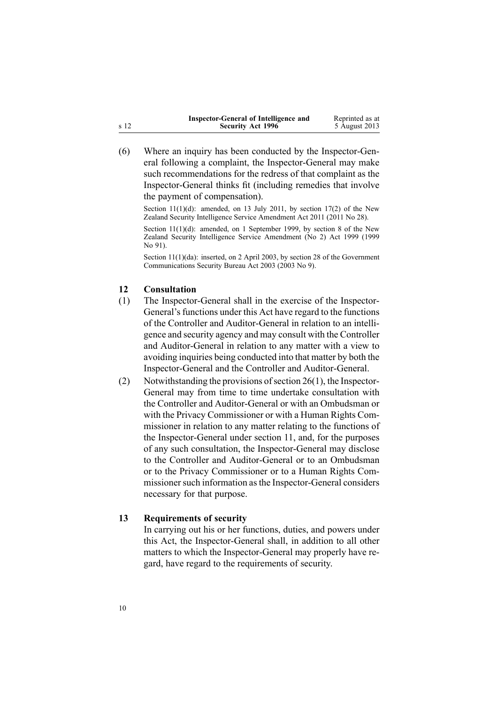<span id="page-9-0"></span>

|      | Inspector-General of Intelligence and | Reprinted as at |
|------|---------------------------------------|-----------------|
| s 12 | <b>Security Act 1996</b>              | 5 August 2013   |

(6) Where an inquiry has been conducted by the Inspector-General following <sup>a</sup> complaint, the Inspector-General may make such recommendations for the redress of that complaint as the Inspector-General thinks fit (including remedies that involve the paymen<sup>t</sup> of compensation).

Section 11(1)(d): amended, on 13 July 2011, by [section](http://www.legislation.govt.nz/pdflink.aspx?id=DLM3390450) 17(2) of the New Zealand Security Intelligence Service Amendment Act 2011 (2011 No 28).

Section 11(1)(d): amended, on 1 September 1999, by [section](http://www.legislation.govt.nz/pdflink.aspx?id=DLM32600) 8 of the New Zealand Security Intelligence Service Amendment (No 2) Act 1999 (1999 No 91).

Section 11(1)(da): inserted, on 2 April 2003, by [section](http://www.legislation.govt.nz/pdflink.aspx?id=DLM187859) 28 of the Government Communications Security Bureau Act 2003 (2003 No 9).

## **12 Consultation**

- (1) The Inspector-General shall in the exercise of the Inspector-General's functions under this Act have regard to the functions of the Controller and Auditor-General in relation to an intelligence and security agency and may consult with the Controller and Auditor-General in relation to any matter with <sup>a</sup> view to avoiding inquiries being conducted into that matter by both the Inspector-General and the Controller and Auditor-General.
- (2) Notwithstanding the provisions of section 26(1), the Inspector-General may from time to time undertake consultation with the Controller and Auditor-General or with an Ombudsman or with the Privacy Commissioner or with <sup>a</sup> Human Rights Commissioner in relation to any matter relating to the functions of the Inspector-General under [section](#page-7-0) 11, and, for the purposes of any such consultation, the Inspector-General may disclose to the Controller and Auditor-General or to an Ombudsman or to the Privacy Commissioner or to <sup>a</sup> Human Rights Commissioner such information as the Inspector-General considers necessary for that purpose.

#### **13 Requirements of security**

In carrying out his or her functions, duties, and powers under this Act, the Inspector-General shall, in addition to all other matters to which the Inspector-General may properly have regard, have regard to the requirements of security.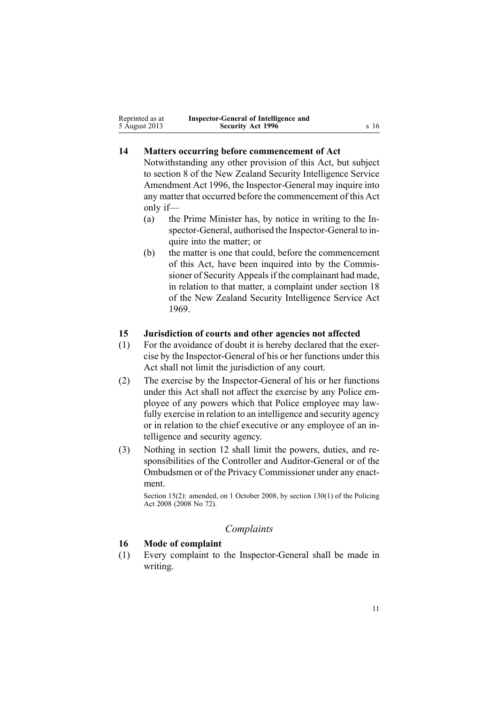<span id="page-10-0"></span>

| Reprinted as at | Inspector-General of Intelligence and |      |
|-----------------|---------------------------------------|------|
| 5 August 2013   | <b>Security Act 1996</b>              | s 16 |

# **14 Matters occurring before commencement of Act**

Notwithstanding any other provision of this Act, but subject to [section](http://www.legislation.govt.nz/pdflink.aspx?id=DLM392574) 8 of the New Zealand Security Intelligence Service Amendment Act 1996, the Inspector-General may inquire into any matter that occurred before the commencement of this Act only if—

- (a) the Prime Minister has, by notice in writing to the Inspector-General, authorised the Inspector-General to inquire into the matter; or
- (b) the matter is one that could, before the commencement of this Act, have been inquired into by the Commissioner of Security Appeals if the complainant had made, in relation to that matter, <sup>a</sup> complaint under [section](http://www.legislation.govt.nz/pdflink.aspx?id=DLM392033) 18 of the New Zealand Security Intelligence Service Act 1969.

#### **15 Jurisdiction of courts and other agencies not affected**

- (1) For the avoidance of doubt it is hereby declared that the exercise by the Inspector-General of his or her functions under this Act shall not limit the jurisdiction of any court.
- (2) The exercise by the Inspector-General of his or her functions under this Act shall not affect the exercise by any Police employee of any powers which that Police employee may lawfully exercise in relation to an intelligence and security agency or in relation to the chief executive or any employee of an intelligence and security agency.
- (3) Nothing in [section](#page-9-0) 12 shall limit the powers, duties, and responsibilities of the Controller and Auditor-General or of the Ombudsmen or of the Privacy Commissioner under any enactment.

Section 15(2): amended, on 1 October 2008, by section [130\(1\)](http://www.legislation.govt.nz/pdflink.aspx?id=DLM1102383) of the Policing Act 2008 (2008 No 72).

## *Complaints*

#### **16 Mode of complaint**

(1) Every complaint to the Inspector-General shall be made in writing.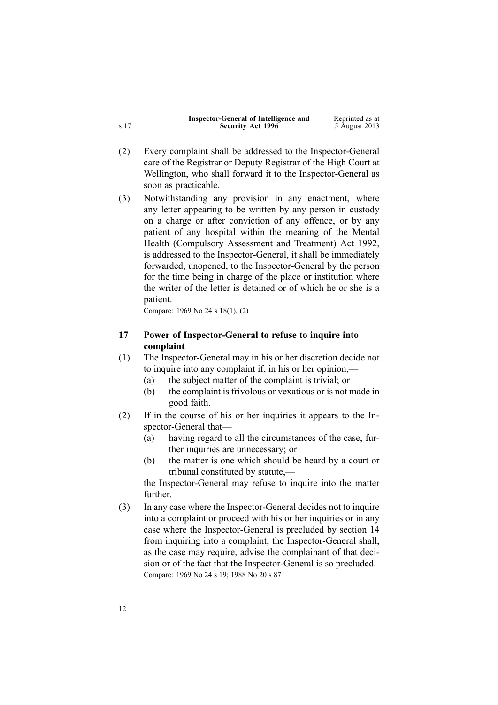<span id="page-11-0"></span>

|      | Inspector-General of Intelligence and | Reprinted as at |
|------|---------------------------------------|-----------------|
| s 17 | <b>Security Act 1996</b>              | 5 August 2013   |

- (2) Every complaint shall be addressed to the Inspector-General care of the Registrar or Deputy Registrar of the High Court at Wellington, who shall forward it to the Inspector-General as soon as practicable.
- (3) Notwithstanding any provision in any enactment, where any letter appearing to be written by any person in custody on <sup>a</sup> charge or after conviction of any offence, or by any patient of any hospital within the meaning of the [Mental](http://www.legislation.govt.nz/pdflink.aspx?id=DLM262706) Health [\(Compulsory](http://www.legislation.govt.nz/pdflink.aspx?id=DLM262706) Assessment and Treatment) Act 1992, is addressed to the Inspector-General, it shall be immediately forwarded, unopened, to the Inspector-General by the person for the time being in charge of the place or institution where the writer of the letter is detained or of which he or she is <sup>a</sup> patient.

Compare: 1969 No 24 <sup>s</sup> [18\(1\),](http://www.legislation.govt.nz/pdflink.aspx?id=DLM392033) (2)

# **17 Power of Inspector-General to refuse to inquire into complaint**

- (1) The Inspector-General may in his or her discretion decide not to inquire into any complaint if, in his or her opinion,—
	- (a) the subject matter of the complaint is trivial; or
	- (b) the complaint is frivolous or vexatious or is not made in good faith.
- (2) If in the course of his or her inquiries it appears to the Inspector-General that—
	- (a) having regard to all the circumstances of the case, further inquiries are unnecessary; or
	- (b) the matter is one which should be heard by <sup>a</sup> court or tribunal constituted by statute,—

the Inspector-General may refuse to inquire into the matter further.

(3) In any case where the Inspector-General decides not to inquire into <sup>a</sup> complaint or proceed with his or her inquiries or in any case where the Inspector-General is precluded by [section](#page-10-0) 14 from inquiring into <sup>a</sup> complaint, the Inspector-General shall, as the case may require, advise the complainant of that decision or of the fact that the Inspector-General is so precluded. Compare: 1969 No 24 <sup>s</sup> [19](http://www.legislation.govt.nz/pdflink.aspx?id=DLM392036); 1988 No 20 <sup>s</sup> [87](http://www.legislation.govt.nz/pdflink.aspx?id=DLM130374)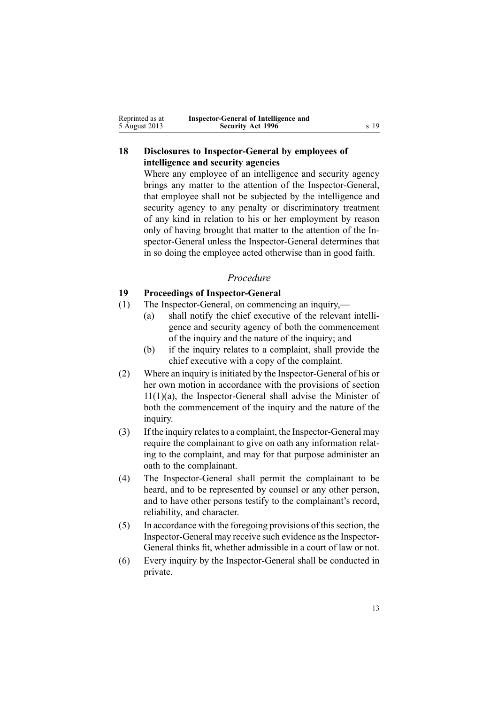<span id="page-12-0"></span>

| Reprinted as at | Inspector-General of Intelligence and |      |
|-----------------|---------------------------------------|------|
| 5 August 2013   | <b>Security Act 1996</b>              | s 19 |

# **18 Disclosures to Inspector-General by employees of intelligence and security agencies**

Where any employee of an intelligence and security agency brings any matter to the attention of the Inspector-General, that employee shall not be subjected by the intelligence and security agency to any penalty or discriminatory treatment of any kind in relation to his or her employment by reason only of having brought that matter to the attention of the Inspector-General unless the Inspector-General determines that in so doing the employee acted otherwise than in good faith.

#### *Procedure*

# **19 Proceedings of Inspector-General**

- (1) The Inspector-General, on commencing an inquiry,—
	- (a) shall notify the chief executive of the relevant intelligence and security agency of both the commencement of the inquiry and the nature of the inquiry; and
	- (b) if the inquiry relates to <sup>a</sup> complaint, shall provide the chief executive with <sup>a</sup> copy of the complaint.
- (2) Where an inquiry is initiated by the Inspector-General of his or her own motion in accordance with the provisions of [section](#page-7-0) [11\(1\)\(a\)](#page-7-0), the Inspector-General shall advise the Minister of both the commencement of the inquiry and the nature of the inquiry.
- (3) If the inquiry relatesto <sup>a</sup> complaint, the Inspector-General may require the complainant to give on oath any information relating to the complaint, and may for that purpose administer an oath to the complainant.
- (4) The Inspector-General shall permit the complainant to be heard, and to be represented by counsel or any other person, and to have other persons testify to the complainant's record, reliability, and character.
- $(5)$  In accordance with the foregoing provisions of this section, the Inspector-General may receive such evidence asthe Inspector-General thinks fit, whether admissible in <sup>a</sup> court of law or not.
- (6) Every inquiry by the Inspector-General shall be conducted in private.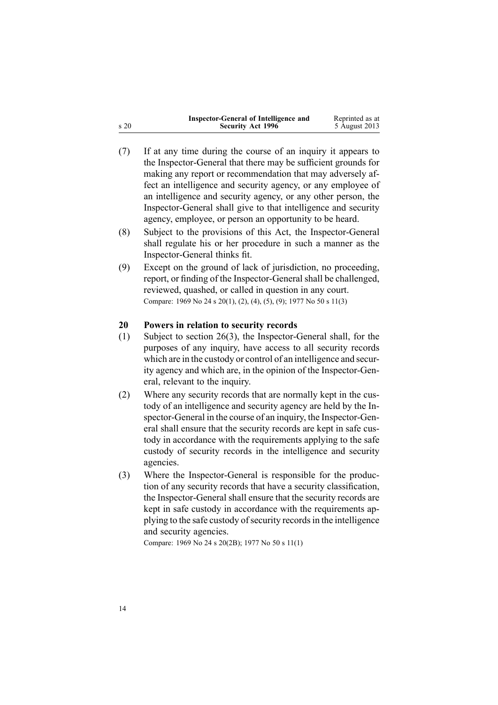<span id="page-13-0"></span>

|      | Inspector-General of Intelligence and | Reprinted as at |
|------|---------------------------------------|-----------------|
| s 20 | <b>Security Act 1996</b>              | 5 August 2013   |

- (7) If at any time during the course of an inquiry it appears to the Inspector-General that there may be sufficient grounds for making any repor<sup>t</sup> or recommendation that may adversely affect an intelligence and security agency, or any employee of an intelligence and security agency, or any other person, the Inspector-General shall give to that intelligence and security agency, employee, or person an opportunity to be heard.
- (8) Subject to the provisions of this Act, the Inspector-General shall regulate his or her procedure in such <sup>a</sup> manner as the Inspector-General thinks fit.
- (9) Except on the ground of lack of jurisdiction, no proceeding, report, or finding of the Inspector-General shall be challenged, reviewed, quashed, or called in question in any court. Compare: 1969 No 24 <sup>s</sup> [20\(1\),](http://www.legislation.govt.nz/pdflink.aspx?id=DLM392040) (2), (4), (5), (9); 1977 No 50 <sup>s</sup> 11(3)

# **20 Powers in relation to security records**

- (1) Subject to [section](#page-18-0) 26(3), the Inspector-General shall, for the purposes of any inquiry, have access to all security records which are in the custody or control of an intelligence and security agency and which are, in the opinion of the Inspector-General, relevant to the inquiry.
- (2) Where any security records that are normally kept in the custody of an intelligence and security agency are held by the Inspector-General in the course of an inquiry, the Inspector-General shall ensure that the security records are kept in safe custody in accordance with the requirements applying to the safe custody of security records in the intelligence and security agencies.
- (3) Where the Inspector-General is responsible for the production of any security records that have <sup>a</sup> security classification, the Inspector-General shall ensure that the security records are kept in safe custody in accordance with the requirements applying to the safe custody of security records in the intelligence and security agencies.

Compare: 1969 No 24 <sup>s</sup> [20\(2B\)](http://www.legislation.govt.nz/pdflink.aspx?id=DLM392040); 1977 No 50 <sup>s</sup> 11(1)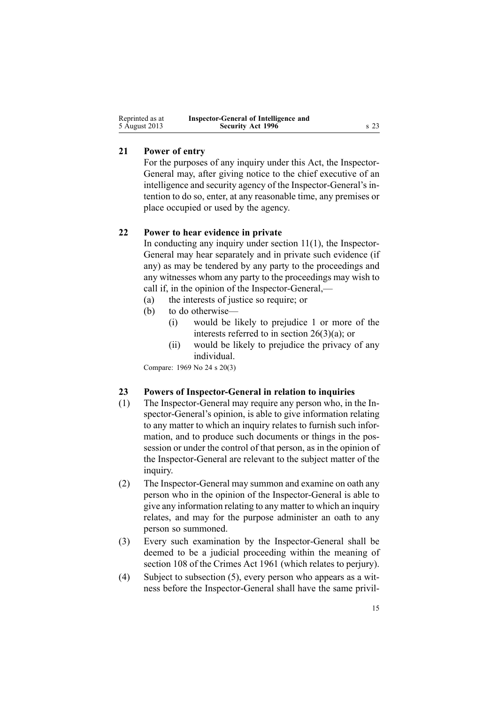<span id="page-14-0"></span>

| Reprinted as at | Inspector-General of Intelligence and |         |
|-----------------|---------------------------------------|---------|
| 5 August 2013   | <b>Security Act 1996</b>              | $s\,23$ |

## **21 Power of entry**

For the purposes of any inquiry under this Act, the Inspector-General may, after giving notice to the chief executive of an intelligence and security agency of the Inspector-General's intention to do so, enter, at any reasonable time, any premises or place occupied or used by the agency.

## **22 Power to hear evidence in private**

In conducting any inquiry under [section](#page-7-0)  $11(1)$ , the Inspector-General may hear separately and in private such evidence (if any) as may be tendered by any party to the proceedings and any witnesses whom any party to the proceedings may wish to call if, in the opinion of the Inspector-General,—

- (a) the interests of justice so require; or
- (b) to do otherwise—
	- (i) would be likely to prejudice 1 or more of the interests referred to in section [26\(3\)\(a\)](#page-18-0); or
	- (ii) would be likely to prejudice the privacy of any individual.

Compare: 1969 No 24 <sup>s</sup> [20\(3\)](http://www.legislation.govt.nz/pdflink.aspx?id=DLM392040)

#### **23 Powers of Inspector-General in relation to inquiries**

- (1) The Inspector-General may require any person who, in the Inspector-General's opinion, is able to give information relating to any matter to which an inquiry relates to furnish such information, and to produce such documents or things in the possession or under the control of that person, as in the opinion of the Inspector-General are relevant to the subject matter of the inquiry.
- (2) The Inspector-General may summon and examine on oath any person who in the opinion of the Inspector-General is able to give any information relating to any matter to which an inquiry relates, and may for the purpose administer an oath to any person so summoned.
- (3) Every such examination by the Inspector-General shall be deemed to be <sup>a</sup> judicial proceeding within the meaning of [section](http://www.legislation.govt.nz/pdflink.aspx?id=DLM328793) 108 of the Crimes Act 1961 (which relates to perjury).
- (4) Subject to subsection (5), every person who appears as <sup>a</sup> witness before the Inspector-General shall have the same privil-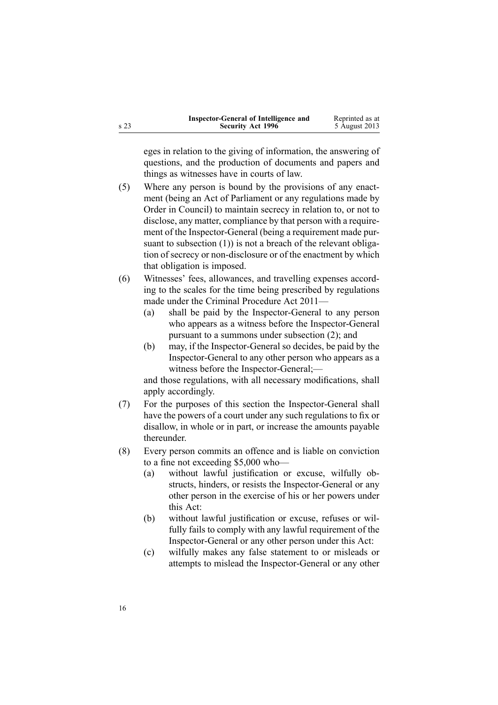|      | Inspector-General of Intelligence and | Reprinted as at |
|------|---------------------------------------|-----------------|
| s 23 | <b>Security Act 1996</b>              | 5 August 2013   |

eges in relation to the giving of information, the answering of questions, and the production of documents and papers and things as witnesses have in courts of law.

- (5) Where any person is bound by the provisions of any enactment (being an Act of Parliament or any regulations made by Order in Council) to maintain secrecy in relation to, or not to disclose, any matter, compliance by that person with <sup>a</sup> requirement of the Inspector-General (being <sup>a</sup> requirement made pursuant to subsection (1)) is not a breach of the relevant obligation of secrecy or non-disclosure or of the enactment by which that obligation is imposed.
- (6) Witnesses' fees, allowances, and travelling expenses according to the scales for the time being prescribed by regulations made under the Criminal [Procedure](http://www.legislation.govt.nz/pdflink.aspx?id=DLM3359902) Act 2011—
	- (a) shall be paid by the Inspector-General to any person who appears as <sup>a</sup> witness before the Inspector-General pursuan<sup>t</sup> to <sup>a</sup> summons under subsection (2); and
	- (b) may, if the Inspector-General so decides, be paid by the Inspector-General to any other person who appears as <sup>a</sup> witness before the Inspector-General;—

and those regulations, with all necessary modifications, shall apply accordingly.

- (7) For the purposes of this section the Inspector-General shall have the powers of <sup>a</sup> court under any such regulations to fix or disallow, in whole or in part, or increase the amounts payable thereunder.
- (8) Every person commits an offence and is liable on conviction to <sup>a</sup> fine not exceeding \$5,000 who—
	- (a) without lawful justification or excuse, wilfully obstructs, hinders, or resists the Inspector-General or any other person in the exercise of his or her powers under this Act:
	- (b) without lawful justification or excuse, refuses or wilfully fails to comply with any lawful requirement of the Inspector-General or any other person under this Act:
	- (c) wilfully makes any false statement to or misleads or attempts to mislead the Inspector-General or any other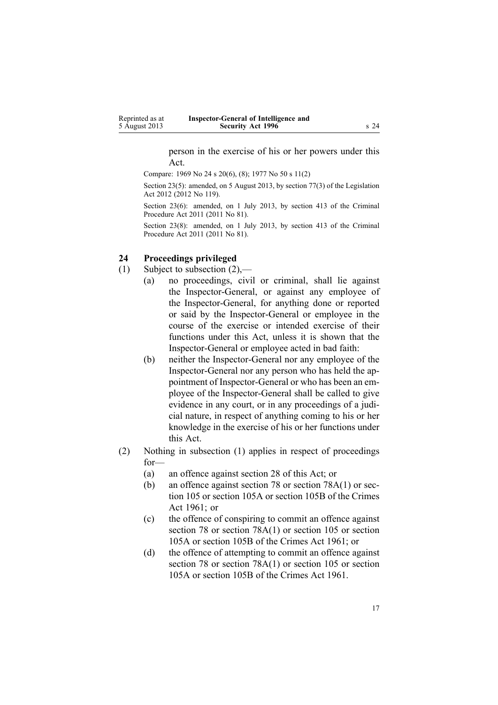person in the exercise of his or her powers under this Act.

<span id="page-16-0"></span>Compare: 1969 No 24 <sup>s</sup> [20\(6\),](http://www.legislation.govt.nz/pdflink.aspx?id=DLM392040) (8); 1977 No 50 <sup>s</sup> 11(2)

Section 23(5): amended, on 5 August 2013, by [section](http://www.legislation.govt.nz/pdflink.aspx?id=DLM2998633) 77(3) of the Legislation Act 2012 (2012 No 119).

Section 23(6): amended, on 1 July 2013, by [section](http://www.legislation.govt.nz/pdflink.aspx?id=DLM3360714) 413 of the Criminal Procedure Act 2011 (2011 No 81).

Section 23(8): amended, on 1 July 2013, by [section](http://www.legislation.govt.nz/pdflink.aspx?id=DLM3360714) 413 of the Criminal Procedure Act 2011 (2011 No 81).

#### **24 Proceedings privileged**

- (1) Subject to subsection (2),—
	- (a) no proceedings, civil or criminal, shall lie against the Inspector-General, or against any employee of the Inspector-General, for anything done or reported or said by the Inspector-General or employee in the course of the exercise or intended exercise of their functions under this Act, unless it is shown that the Inspector-General or employee acted in bad faith:
	- (b) neither the Inspector-General nor any employee of the Inspector-General nor any person who has held the appointment of Inspector-General or who has been an employee of the Inspector-General shall be called to give evidence in any court, or in any proceedings of <sup>a</sup> judicial nature, in respec<sup>t</sup> of anything coming to his or her knowledge in the exercise of his or her functions under this Act.
- (2) Nothing in subsection (1) applies in respec<sup>t</sup> of proceedings for—
	- (a) an offence against [section](#page-20-0) 28 of this Act; or
	- (b) an offence against [section](http://www.legislation.govt.nz/pdflink.aspx?id=DLM328526) 78 or section [78A\(1\)](http://www.legislation.govt.nz/pdflink.aspx?id=DLM328528) or [sec](http://www.legislation.govt.nz/pdflink.aspx?id=DLM328753)[tion](http://www.legislation.govt.nz/pdflink.aspx?id=DLM328753) 105 or [section](http://www.legislation.govt.nz/pdflink.aspx?id=DLM328755) 105A or [section](http://www.legislation.govt.nz/pdflink.aspx?id=DLM328758) 105B of the Crimes Act 1961; or
	- (c) the offence of conspiring to commit an offence against [section](http://www.legislation.govt.nz/pdflink.aspx?id=DLM328526) 78 or section [78A\(1\)](http://www.legislation.govt.nz/pdflink.aspx?id=DLM328528) or [section](http://www.legislation.govt.nz/pdflink.aspx?id=DLM328753) 105 or [section](http://www.legislation.govt.nz/pdflink.aspx?id=DLM328755) [105A](http://www.legislation.govt.nz/pdflink.aspx?id=DLM328755) or [section](http://www.legislation.govt.nz/pdflink.aspx?id=DLM328758) 105B of the Crimes Act 1961; or
	- (d) the offence of attempting to commit an offence against [section](http://www.legislation.govt.nz/pdflink.aspx?id=DLM328526) 78 or section [78A\(1\)](http://www.legislation.govt.nz/pdflink.aspx?id=DLM328528) or [section](http://www.legislation.govt.nz/pdflink.aspx?id=DLM328753) 105 or [section](http://www.legislation.govt.nz/pdflink.aspx?id=DLM328755) [105A](http://www.legislation.govt.nz/pdflink.aspx?id=DLM328755) or [section](http://www.legislation.govt.nz/pdflink.aspx?id=DLM328758) 105B of the Crimes Act 1961.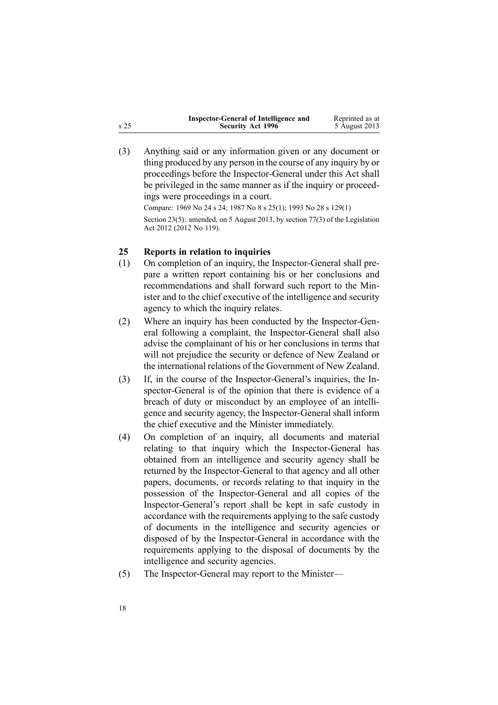<span id="page-17-0"></span>

|      | Inspector-General of Intelligence and | Reprinted as at |
|------|---------------------------------------|-----------------|
| s 25 | <b>Security Act 1996</b>              | 5 August 2013   |

(3) Anything said or any information given or any document or thing produced by any person in the course of any inquiry by or proceedings before the Inspector-General under this Act shall be privileged in the same manner as if the inquiry or proceedings were proceedings in <sup>a</sup> court. Compare: 1969 No 24 <sup>s</sup> [24](http://www.legislation.govt.nz/pdflink.aspx?id=DLM392056); 1987 No 8 <sup>s</sup> [25\(1\)](http://www.legislation.govt.nz/pdflink.aspx?id=DLM101353); 1993 No 28 <sup>s</sup> [129\(1\)](http://www.legislation.govt.nz/pdflink.aspx?id=DLM298439)

Section 23(5): amended, on 5 August 2013, by [section](http://www.legislation.govt.nz/pdflink.aspx?id=DLM2998633) 77(3) of the Legislation Act 2012 (2012 No 119).

# **25 Reports in relation to inquiries**

- (1) On completion of an inquiry, the Inspector-General shall prepare <sup>a</sup> written repor<sup>t</sup> containing his or her conclusions and recommendations and shall forward such repor<sup>t</sup> to the Minister and to the chief executive of the intelligence and security agency to which the inquiry relates.
- (2) Where an inquiry has been conducted by the Inspector-General following <sup>a</sup> complaint, the Inspector-General shall also advise the complainant of his or her conclusions in terms that will not prejudice the security or defence of New Zealand or the international relations of the Government of New Zealand.
- (3) If, in the course of the Inspector-General's inquiries, the Inspector-General is of the opinion that there is evidence of <sup>a</sup> breach of duty or misconduct by an employee of an intelligence and security agency, the Inspector-General shall inform the chief executive and the Minister immediately.
- (4) On completion of an inquiry, all documents and material relating to that inquiry which the Inspector-General has obtained from an intelligence and security agency shall be returned by the Inspector-General to that agency and all other papers, documents, or records relating to that inquiry in the possession of the Inspector-General and all copies of the Inspector-General's repor<sup>t</sup> shall be kept in safe custody in accordance with the requirements applying to the safe custody of documents in the intelligence and security agencies or disposed of by the Inspector-General in accordance with the requirements applying to the disposal of documents by the intelligence and security agencies.
- (5) The Inspector-General may repor<sup>t</sup> to the Minister—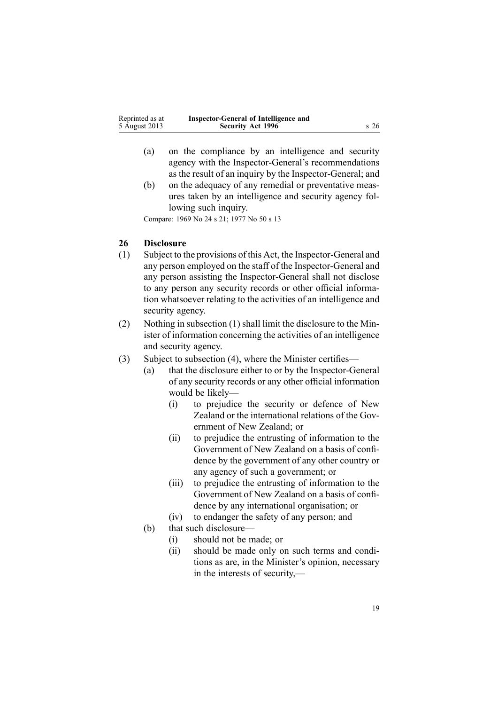<span id="page-18-0"></span>

| Reprinted as at | Inspector-General of Intelligence and |         |
|-----------------|---------------------------------------|---------|
| 5 August 2013   | <b>Security Act 1996</b>              | $s\,26$ |

- (a) on the compliance by an intelligence and security agency with the Inspector-General's recommendations as the result of an inquiry by the Inspector-General; and
- (b) on the adequacy of any remedial or preventative measures taken by an intelligence and security agency following such inquiry.

Compare: 1969 No 24 <sup>s</sup> [21](http://www.legislation.govt.nz/pdflink.aspx?id=DLM392048); 1977 No 50 <sup>s</sup> 13

# **26 Disclosure**

- (1) Subject to the provisions of this Act, the Inspector-General and any person employed on the staff of the Inspector-General and any person assisting the Inspector-General shall not disclose to any person any security records or other official information whatsoever relating to the activities of an intelligence and security agency.
- (2) Nothing in subsection (1) shall limit the disclosure to the Minister of information concerning the activities of an intelligence and security agency.
- (3) Subject to subsection (4), where the Minister certifies—
	- (a) that the disclosure either to or by the Inspector-General of any security records or any other official information would be likely—
		- (i) to prejudice the security or defence of New Zealand or the international relations of the Government of New Zealand; or
		- (ii) to prejudice the entrusting of information to the Government of New Zealand on <sup>a</sup> basis of confidence by the governmen<sup>t</sup> of any other country or any agency of such <sup>a</sup> government; or
		- (iii) to prejudice the entrusting of information to the Government of New Zealand on <sup>a</sup> basis of confidence by any international organisation; or
		- (iv) to endanger the safety of any person; and
	- (b) that such disclosure—
		- (i) should not be made; or
		- (ii) should be made only on such terms and conditions as are, in the Minister's opinion, necessary in the interests of security,—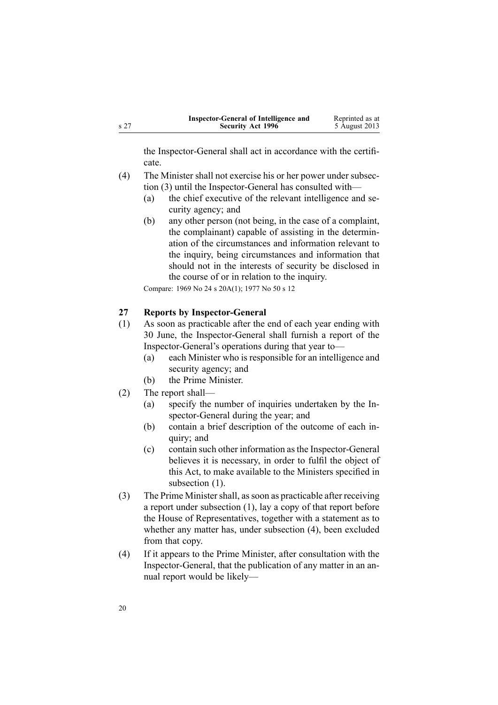<span id="page-19-0"></span>

|      | Inspector-General of Intelligence and | Reprinted as at |
|------|---------------------------------------|-----------------|
| s 27 | <b>Security Act 1996</b>              | 5 August 2013   |

the Inspector-General shall act in accordance with the certificate.

- (4) The Minister shall not exercise his or her power under subsection (3) until the Inspector-General has consulted with—
	- (a) the chief executive of the relevant intelligence and security agency; and
	- (b) any other person (not being, in the case of <sup>a</sup> complaint, the complainant) capable of assisting in the determination of the circumstances and information relevant to the inquiry, being circumstances and information that should not in the interests of security be disclosed in the course of or in relation to the inquiry.

Compare: 1969 No 24 <sup>s</sup> [20A\(1\)](http://www.legislation.govt.nz/pdflink.aspx?id=DLM392045); 1977 No 50 <sup>s</sup> 12

## **27 Reports by Inspector-General**

- (1) As soon as practicable after the end of each year ending with 30 June, the Inspector-General shall furnish <sup>a</sup> repor<sup>t</sup> of the Inspector-General's operations during that year to—
	- (a) each Minister who is responsible for an intelligence and security agency; and
	- (b) the Prime Minister.
- (2) The repor<sup>t</sup> shall—
	- (a) specify the number of inquiries undertaken by the Inspector-General during the year; and
	- (b) contain <sup>a</sup> brief description of the outcome of each inquiry; and
	- (c) contain such other information asthe Inspector-General believes it is necessary, in order to fulfil the object of this Act, to make available to the Ministers specified in subsection  $(1)$ .
- (3) The Prime Ministershall, assoon as practicable after receiving <sup>a</sup> repor<sup>t</sup> under subsection (1), lay <sup>a</sup> copy of that repor<sup>t</sup> before the House of Representatives, together with <sup>a</sup> statement as to whether any matter has, under subsection (4), been excluded from that copy.
- (4) If it appears to the Prime Minister, after consultation with the Inspector-General, that the publication of any matter in an annual repor<sup>t</sup> would be likely—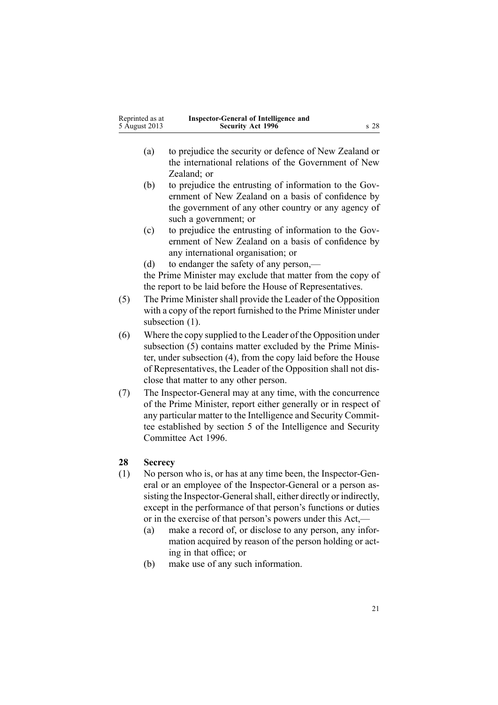<span id="page-20-0"></span>

| Reprinted as at | Inspector-General of Intelligence and |                 |
|-----------------|---------------------------------------|-----------------|
| 5 August 2013   | <b>Security Act 1996</b>              | s <sub>28</sub> |

- (a) to prejudice the security or defence of New Zealand or the international relations of the Government of New Zealand; or
- (b) to prejudice the entrusting of information to the Government of New Zealand on <sup>a</sup> basis of confidence by the governmen<sup>t</sup> of any other country or any agency of such <sup>a</sup> government; or
- (c) to prejudice the entrusting of information to the Government of New Zealand on <sup>a</sup> basis of confidence by any international organisation; or
- (d) to endanger the safety of any person,—

the Prime Minister may exclude that matter from the copy of the repor<sup>t</sup> to be laid before the House of Representatives.

- (5) The Prime Minister shall provide the Leader of the Opposition with <sup>a</sup> copy of the repor<sup>t</sup> furnished to the Prime Minister under subsection  $(1)$ .
- (6) Where the copy supplied to the Leader of the Opposition under subsection (5) contains matter excluded by the Prime Minister, under subsection (4), from the copy laid before the House of Representatives, the Leader of the Opposition shall not disclose that matter to any other person.
- (7) The Inspector-General may at any time, with the concurrence of the Prime Minister, repor<sup>t</sup> either generally or in respec<sup>t</sup> of any particular matter to the Intelligence and Security Committee established by [section](http://www.legislation.govt.nz/pdflink.aspx?id=DLM392266) 5 of the Intelligence and Security Committee Act 1996.

# **28 Secrecy**

- (1) No person who is, or has at any time been, the Inspector-General or an employee of the Inspector-General or <sup>a</sup> person assisting the Inspector-General shall, either directly or indirectly, excep<sup>t</sup> in the performance of that person's functions or duties or in the exercise of that person's powers under this Act,—
	- (a) make <sup>a</sup> record of, or disclose to any person, any information acquired by reason of the person holding or acting in that office; or
	- (b) make use of any such information.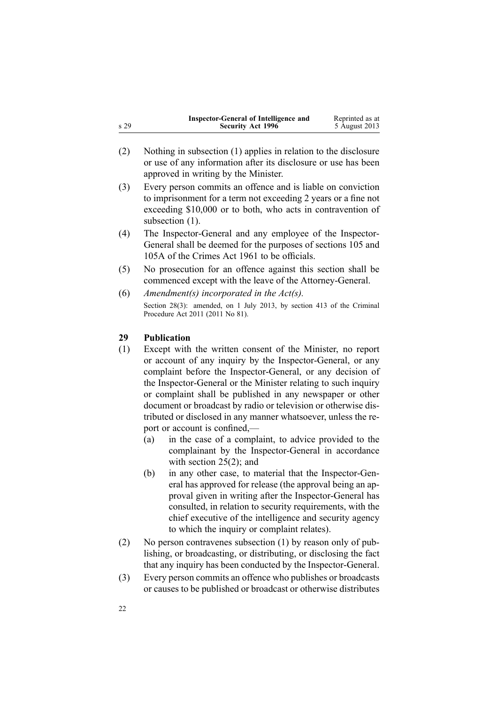<span id="page-21-0"></span>

| s 29 | <b>Inspector-General of Intelligence and</b><br><b>Security Act 1996</b>                                                                                                                                                                                                                                                                                                                                                                                                                                                                                                                                                                       | Reprinted as at<br>5 August 2013 |
|------|------------------------------------------------------------------------------------------------------------------------------------------------------------------------------------------------------------------------------------------------------------------------------------------------------------------------------------------------------------------------------------------------------------------------------------------------------------------------------------------------------------------------------------------------------------------------------------------------------------------------------------------------|----------------------------------|
| (2)  | Nothing in subsection (1) applies in relation to the disclosure<br>or use of any information after its disclosure or use has been<br>approved in writing by the Minister.                                                                                                                                                                                                                                                                                                                                                                                                                                                                      |                                  |
| (3)  | Every person commits an offence and is liable on conviction<br>to imprisonment for a term not exceeding 2 years or a fine not<br>exceeding \$10,000 or to both, who acts in contravention of<br>subsection (1).                                                                                                                                                                                                                                                                                                                                                                                                                                |                                  |
| (4)  | The Inspector-General and any employee of the Inspector-<br>General shall be deemed for the purposes of sections 105 and<br>105A of the Crimes Act 1961 to be officials.                                                                                                                                                                                                                                                                                                                                                                                                                                                                       |                                  |
| (5)  | No prosecution for an offence against this section shall be<br>commenced except with the leave of the Attorney-General.                                                                                                                                                                                                                                                                                                                                                                                                                                                                                                                        |                                  |
| (6)  | Amendment(s) incorporated in the $Act(s)$ .                                                                                                                                                                                                                                                                                                                                                                                                                                                                                                                                                                                                    |                                  |
|      | Section 28(3): amended, on 1 July 2013, by section 413 of the Criminal<br>Procedure Act 2011 (2011 No 81).                                                                                                                                                                                                                                                                                                                                                                                                                                                                                                                                     |                                  |
| 29   | <b>Publication</b>                                                                                                                                                                                                                                                                                                                                                                                                                                                                                                                                                                                                                             |                                  |
| (1)  | Except with the written consent of the Minister, no report<br>or account of any inquiry by the Inspector-General, or any<br>complaint before the Inspector-General, or any decision of<br>the Inspector-General or the Minister relating to such inquiry<br>or complaint shall be published in any newspaper or other<br>document or broadcast by radio or television or otherwise dis-<br>tributed or disclosed in any manner whatsoever, unless the re-<br>port or account is confined,—<br>in the case of a complaint, to advice provided to the<br>(a)<br>complainant by the Inspector-General in accordance<br>with section $25(2)$ ; and |                                  |

- (b) in any other case, to material that the Inspector-General has approved for release (the approval being an approval given in writing after the Inspector-General has consulted, in relation to security requirements, with the chief executive of the intelligence and security agency to which the inquiry or complaint relates).
- (2) No person contravenes subsection (1) by reason only of publishing, or broadcasting, or distributing, or disclosing the fact that any inquiry has been conducted by the Inspector-General.
- (3) Every person commits an offence who publishes or broadcasts or causes to be published or broadcast or otherwise distributes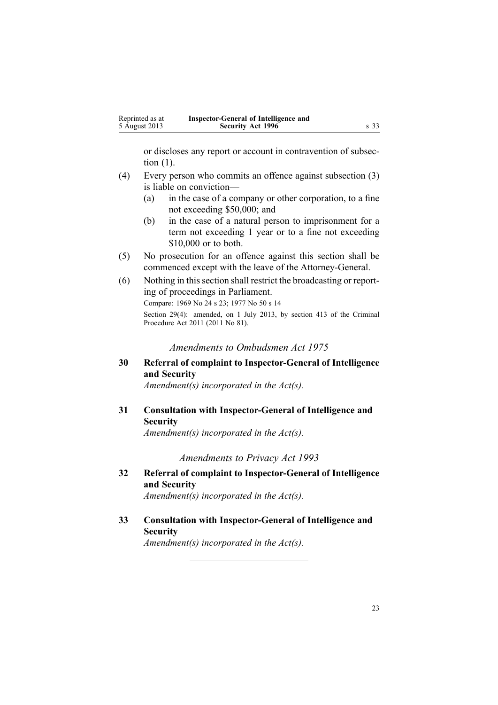<span id="page-22-0"></span>

| Reprinted as at | Inspector-General of Intelligence and |      |
|-----------------|---------------------------------------|------|
| 5 August 2013   | <b>Security Act 1996</b>              | s 33 |

or discloses any repor<sup>t</sup> or account in contravention of subsection (1).

- (4) Every person who commits an offence against subsection (3) is liable on conviction—
	- (a) in the case of <sup>a</sup> company or other corporation, to <sup>a</sup> fine not exceeding \$50,000; and
	- (b) in the case of <sup>a</sup> natural person to imprisonment for <sup>a</sup> term not exceeding 1 year or to <sup>a</sup> fine not exceeding \$10,000 or to both.
- (5) No prosecution for an offence against this section shall be commenced excep<sup>t</sup> with the leave of the Attorney-General.
- (6) Nothing in thissection shall restrict the broadcasting or reporting of proceedings in Parliament. Compare: 1969 No 24 <sup>s</sup> [23](http://www.legislation.govt.nz/pdflink.aspx?id=DLM392053); 1977 No 50 <sup>s</sup> 14 Section 29(4): amended, on 1 July 2013, by [section](http://www.legislation.govt.nz/pdflink.aspx?id=DLM3360714) 413 of the Criminal Procedure Act 2011 (2011 No 81).

*Amendments to Ombudsmen Act 1975*

**30 Referral of complaint to Inspector-General of Intelligence and Security**

*Amendment(s) incorporated in the [Act\(s\).](http://www.legislation.govt.nz/pdflink.aspx?id=DLM430983)*

**31 Consultation with Inspector-General of Intelligence and Security**

*Amendment(s) incorporated in the [Act\(s\).](http://www.legislation.govt.nz/pdflink.aspx?id=DLM430983)*

*Amendments to Privacy Act 1993*

- **32 Referral of complaint to Inspector-General of Intelligence and Security** *Amendment(s) incorporated in the [Act\(s\).](http://www.legislation.govt.nz/pdflink.aspx?id=DLM297450)*
- **33 Consultation with Inspector-General of Intelligence and Security**

*Amendment(s) incorporated in the [Act\(s\).](http://www.legislation.govt.nz/pdflink.aspx?id=DLM298415)*